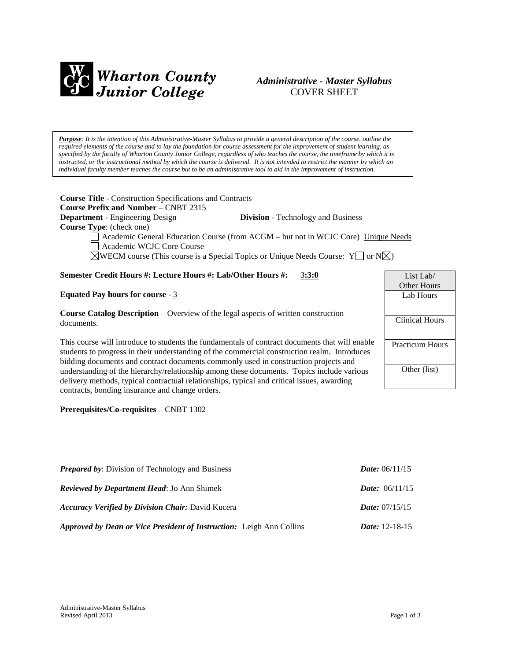

# *Administrative - Master Syllabus*  COVER SHEET

*Purpose: It is the intention of this Administrative-Master Syllabus to provide a general description of the course, outline the required elements of the course and to lay the foundation for course assessment for the improvement of student learning, as specified by the faculty of Wharton County Junior College, regardless of who teaches the course, the timeframe by which it is instructed, or the instructional method by which the course is delivered. It is not intended to restrict the manner by which an individual faculty member teaches the course but to be an administrative tool to aid in the improvement of instruction.*

**Course Title** - Construction Specifications and Contracts **Course Prefix and Number** – CNBT 2315 **Department** - Engineering Design **Division** - Technology and Business **Course Type**: (check one)

Academic General Education Course (from ACGM – but not in WCJC Core) Unique Needs Academic WCJC Core Course

 $\boxtimes$ WECM course (This course is a Special Topics or Unique Needs Course: Y  $\Box$  or N $\boxtimes$ )

## **Semester Credit Hours #: Lecture Hours #: Lab/Other Hours #:** 3**:3:0**

#### **Equated Pay hours for course** - 3

**Course Catalog Description** – Overview of the legal aspects of written construction documents.

This course will introduce to students the fundamentals of contract documents that will enable students to progress in their understanding of the commercial construction realm. Introduces bidding documents and contract documents commonly used in construction projects and understanding of the hierarchy/relationship among these documents. Topics include various delivery methods, typical contractual relationships, typical and critical issues, awarding contracts, bonding insurance and change orders.

**Prerequisites/Co-requisites** – CNBT 1302

| <b>Prepared by:</b> Division of Technology and Business                     | <i>Date:</i> $06/11/15$ |
|-----------------------------------------------------------------------------|-------------------------|
| <b>Reviewed by Department Head: Jo Ann Shimek</b>                           | <i>Date:</i> $06/11/15$ |
| <b>Accuracy Verified by Division Chair: David Kucera</b>                    | <i>Date:</i> $07/15/15$ |
| <b>Approved by Dean or Vice President of Instruction:</b> Leigh Ann Collins | <i>Date:</i> $12-18-15$ |

| List Lab/                           |
|-------------------------------------|
| Other Hours                         |
| Lab Hours                           |
|                                     |
| $\overline{\text{C}}$ linical Hours |
|                                     |
| <b>Practicum Hours</b>              |
|                                     |
| Other (list)                        |
|                                     |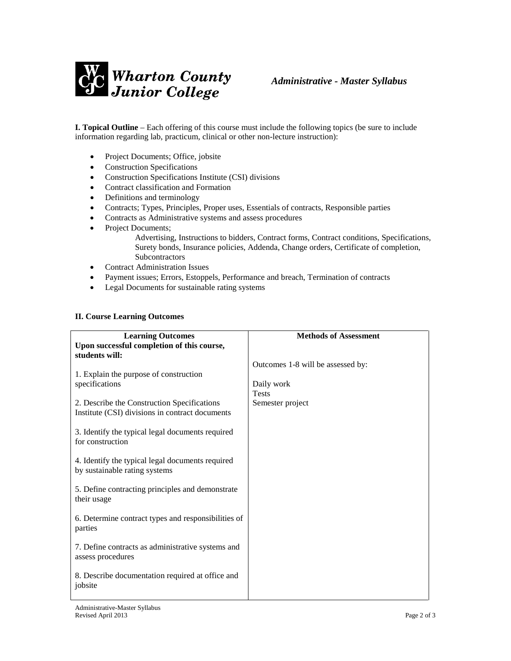

**I. Topical Outline** – Each offering of this course must include the following topics (be sure to include information regarding lab, practicum, clinical or other non-lecture instruction):

- Project Documents; Office, jobsite
- Construction Specifications
- Construction Specifications Institute (CSI) divisions
- Contract classification and Formation
- Definitions and terminology
- Contracts; Types, Principles, Proper uses, Essentials of contracts, Responsible parties
- Contracts as Administrative systems and assess procedures
- Project Documents;

Advertising, Instructions to bidders, Contract forms, Contract conditions, Specifications, Surety bonds, Insurance policies, Addenda, Change orders, Certificate of completion, Subcontractors

- Contract Administration Issues
- Payment issues; Errors, Estoppels, Performance and breach, Termination of contracts
- Legal Documents for sustainable rating systems

#### **II. Course Learning Outcomes**

| <b>Learning Outcomes</b>                            | <b>Methods of Assessment</b>      |
|-----------------------------------------------------|-----------------------------------|
| Upon successful completion of this course,          |                                   |
| students will:                                      |                                   |
|                                                     | Outcomes 1-8 will be assessed by: |
| 1. Explain the purpose of construction              |                                   |
| specifications                                      | Daily work                        |
|                                                     | <b>Tests</b>                      |
| 2. Describe the Construction Specifications         | Semester project                  |
| Institute (CSI) divisions in contract documents     |                                   |
|                                                     |                                   |
| 3. Identify the typical legal documents required    |                                   |
| for construction                                    |                                   |
|                                                     |                                   |
| 4. Identify the typical legal documents required    |                                   |
| by sustainable rating systems                       |                                   |
|                                                     |                                   |
| 5. Define contracting principles and demonstrate    |                                   |
| their usage                                         |                                   |
|                                                     |                                   |
| 6. Determine contract types and responsibilities of |                                   |
| parties                                             |                                   |
| 7. Define contracts as administrative systems and   |                                   |
| assess procedures                                   |                                   |
|                                                     |                                   |
| 8. Describe documentation required at office and    |                                   |
| jobsite                                             |                                   |
|                                                     |                                   |